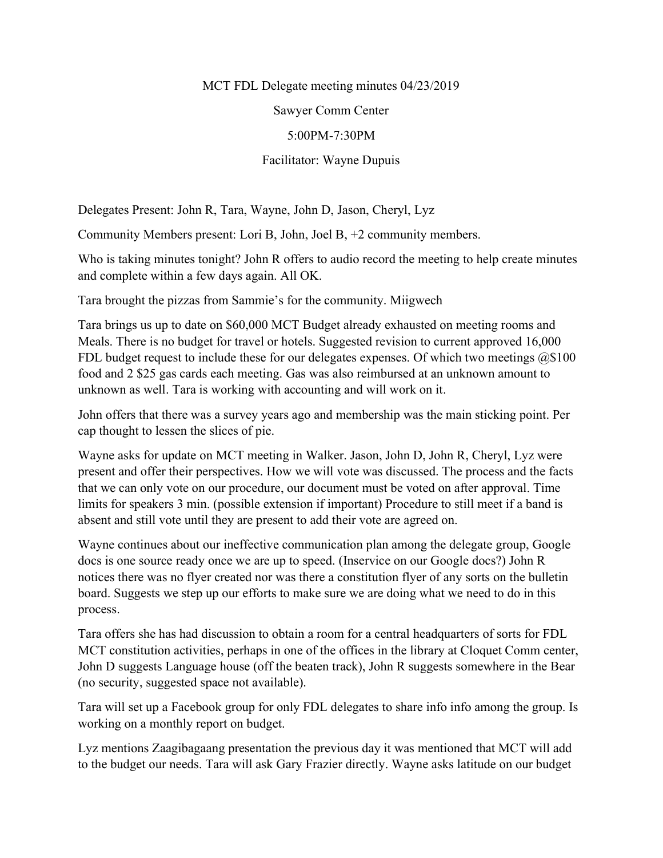MCT FDL Delegate meeting minutes 04/23/2019

Sawyer Comm Center

5:00PM-7:30PM

Facilitator: Wayne Dupuis

Delegates Present: John R, Tara, Wayne, John D, Jason, Cheryl, Lyz

Community Members present: Lori B, John, Joel B, +2 community members.

Who is taking minutes tonight? John R offers to audio record the meeting to help create minutes and complete within a few days again. All OK.

Tara brought the pizzas from Sammie's for the community. Miigwech

Tara brings us up to date on \$60,000 MCT Budget already exhausted on meeting rooms and Meals. There is no budget for travel or hotels. Suggested revision to current approved 16,000 FDL budget request to include these for our delegates expenses. Of which two meetings  $@\$100$ food and 2 \$25 gas cards each meeting. Gas was also reimbursed at an unknown amount to unknown as well. Tara is working with accounting and will work on it.

John offers that there was a survey years ago and membership was the main sticking point. Per cap thought to lessen the slices of pie.

Wayne asks for update on MCT meeting in Walker. Jason, John D, John R, Cheryl, Lyz were present and offer their perspectives. How we will vote was discussed. The process and the facts that we can only vote on our procedure, our document must be voted on after approval. Time limits for speakers 3 min. (possible extension if important) Procedure to still meet if a band is absent and still vote until they are present to add their vote are agreed on.

Wayne continues about our ineffective communication plan among the delegate group, Google docs is one source ready once we are up to speed. (Inservice on our Google docs?) John R notices there was no flyer created nor was there a constitution flyer of any sorts on the bulletin board. Suggests we step up our efforts to make sure we are doing what we need to do in this process.

Tara offers she has had discussion to obtain a room for a central headquarters of sorts for FDL MCT constitution activities, perhaps in one of the offices in the library at Cloquet Comm center, John D suggests Language house (off the beaten track), John R suggests somewhere in the Bear (no security, suggested space not available).

Tara will set up a Facebook group for only FDL delegates to share info info among the group. Is working on a monthly report on budget.

Lyz mentions Zaagibagaang presentation the previous day it was mentioned that MCT will add to the budget our needs. Tara will ask Gary Frazier directly. Wayne asks latitude on our budget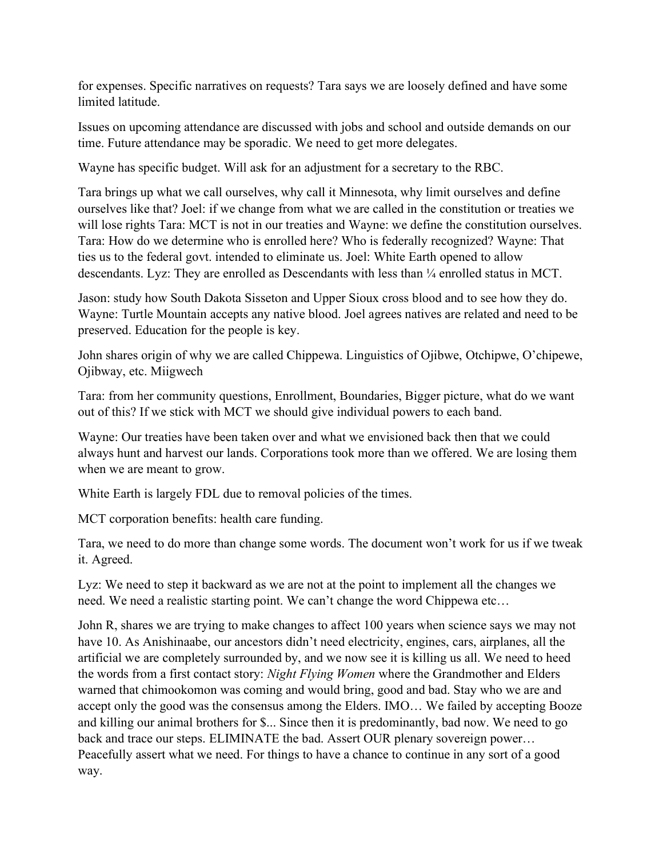for expenses. Specific narratives on requests? Tara says we are loosely defined and have some limited latitude.

Issues on upcoming attendance are discussed with jobs and school and outside demands on our time. Future attendance may be sporadic. We need to get more delegates.

Wayne has specific budget. Will ask for an adjustment for a secretary to the RBC.

Tara brings up what we call ourselves, why call it Minnesota, why limit ourselves and define ourselves like that? Joel: if we change from what we are called in the constitution or treaties we will lose rights Tara: MCT is not in our treaties and Wayne: we define the constitution ourselves. Tara: How do we determine who is enrolled here? Who is federally recognized? Wayne: That ties us to the federal govt. intended to eliminate us. Joel: White Earth opened to allow descendants. Lyz: They are enrolled as Descendants with less than ¼ enrolled status in MCT.

Jason: study how South Dakota Sisseton and Upper Sioux cross blood and to see how they do. Wayne: Turtle Mountain accepts any native blood. Joel agrees natives are related and need to be preserved. Education for the people is key.

John shares origin of why we are called Chippewa. Linguistics of Ojibwe, Otchipwe, O'chipewe, Ojibway, etc. Miigwech

Tara: from her community questions, Enrollment, Boundaries, Bigger picture, what do we want out of this? If we stick with MCT we should give individual powers to each band.

Wayne: Our treaties have been taken over and what we envisioned back then that we could always hunt and harvest our lands. Corporations took more than we offered. We are losing them when we are meant to grow.

White Earth is largely FDL due to removal policies of the times.

MCT corporation benefits: health care funding.

Tara, we need to do more than change some words. The document won't work for us if we tweak it. Agreed.

Lyz: We need to step it backward as we are not at the point to implement all the changes we need. We need a realistic starting point. We can't change the word Chippewa etc…

John R, shares we are trying to make changes to affect 100 years when science says we may not have 10. As Anishinaabe, our ancestors didn't need electricity, engines, cars, airplanes, all the artificial we are completely surrounded by, and we now see it is killing us all. We need to heed the words from a first contact story: Night Flying Women where the Grandmother and Elders warned that chimookomon was coming and would bring, good and bad. Stay who we are and accept only the good was the consensus among the Elders. IMO… We failed by accepting Booze and killing our animal brothers for \$... Since then it is predominantly, bad now. We need to go back and trace our steps. ELIMINATE the bad. Assert OUR plenary sovereign power… Peacefully assert what we need. For things to have a chance to continue in any sort of a good way.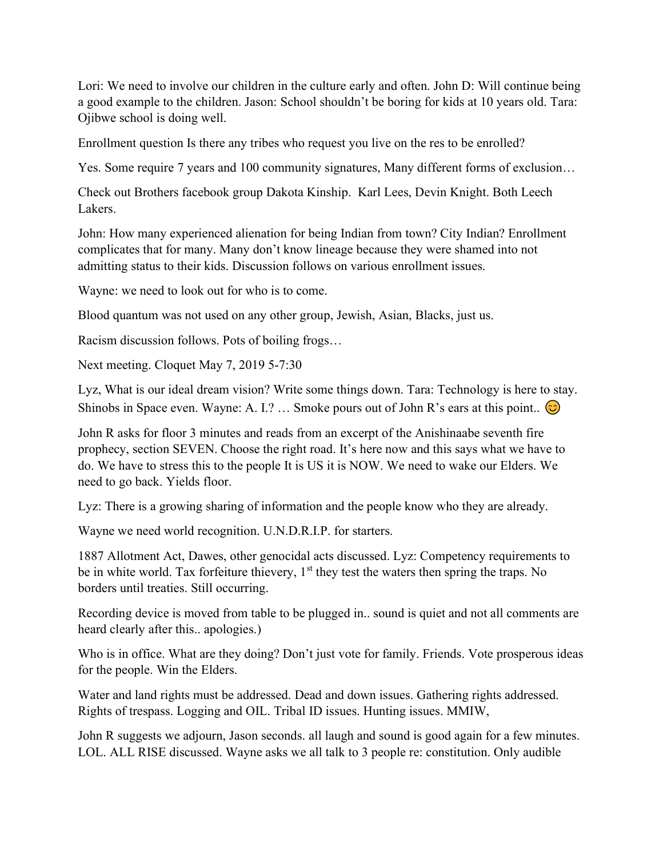Lori: We need to involve our children in the culture early and often. John D: Will continue being a good example to the children. Jason: School shouldn't be boring for kids at 10 years old. Tara: Ojibwe school is doing well.

Enrollment question Is there any tribes who request you live on the res to be enrolled?

Yes. Some require 7 years and 100 community signatures, Many different forms of exclusion…

Check out Brothers facebook group Dakota Kinship. Karl Lees, Devin Knight. Both Leech Lakers.

John: How many experienced alienation for being Indian from town? City Indian? Enrollment complicates that for many. Many don't know lineage because they were shamed into not admitting status to their kids. Discussion follows on various enrollment issues.

Wayne: we need to look out for who is to come.

Blood quantum was not used on any other group, Jewish, Asian, Blacks, just us.

Racism discussion follows. Pots of boiling frogs…

Next meeting. Cloquet May 7, 2019 5-7:30

Lyz, What is our ideal dream vision? Write some things down. Tara: Technology is here to stay. Shinobs in Space even. Wayne: A. I.? ... Smoke pours out of John R's ears at this point..  $\circled{c}$ 

John R asks for floor 3 minutes and reads from an excerpt of the Anishinaabe seventh fire prophecy, section SEVEN. Choose the right road. It's here now and this says what we have to do. We have to stress this to the people It is US it is NOW. We need to wake our Elders. We need to go back. Yields floor.

Lyz: There is a growing sharing of information and the people know who they are already.

Wayne we need world recognition. U.N.D.R.I.P. for starters.

1887 Allotment Act, Dawes, other genocidal acts discussed. Lyz: Competency requirements to be in white world. Tax forfeiture thievery,  $1<sup>st</sup>$  they test the waters then spring the traps. No borders until treaties. Still occurring.

Recording device is moved from table to be plugged in.. sound is quiet and not all comments are heard clearly after this.. apologies.)

Who is in office. What are they doing? Don't just vote for family. Friends. Vote prosperous ideas for the people. Win the Elders.

Water and land rights must be addressed. Dead and down issues. Gathering rights addressed. Rights of trespass. Logging and OIL. Tribal ID issues. Hunting issues. MMIW,

John R suggests we adjourn, Jason seconds. all laugh and sound is good again for a few minutes. LOL. ALL RISE discussed. Wayne asks we all talk to 3 people re: constitution. Only audible